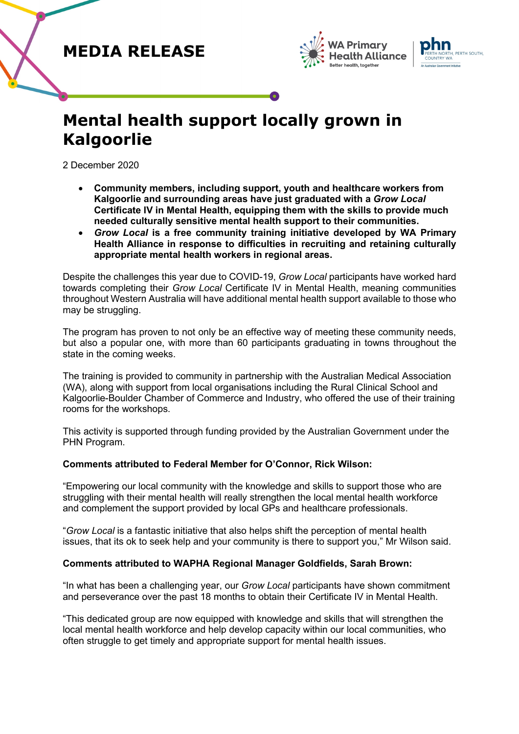## **MEDIA RELEASE**





# **Mental health support locally grown in Kalgoorlie**

2 December 2020

- **Community members, including support, youth and healthcare workers from Kalgoorlie and surrounding areas have just graduated with a** *Grow Local* **Certificate IV in Mental Health, equipping them with the skills to provide much needed culturally sensitive mental health support to their communities.**
- *Grow Local* **is a free community training initiative developed by WA Primary Health Alliance in response to difficulties in recruiting and retaining culturally appropriate mental health workers in regional areas.**

Despite the challenges this year due to COVID-19, *Grow Local* participants have worked hard towards completing their *Grow Local* Certificate IV in Mental Health, meaning communities throughout Western Australia will have additional mental health support available to those who may be struggling.

The program has proven to not only be an effective way of meeting these community needs, but also a popular one, with more than 60 participants graduating in towns throughout the state in the coming weeks.

The training is provided to community in partnership with the Australian Medical Association (WA), along with support from local organisations including the Rural Clinical School and Kalgoorlie-Boulder Chamber of Commerce and Industry, who offered the use of their training rooms for the workshops.

This activity is supported through funding provided by the Australian Government under the PHN Program.

### **Comments attributed to Federal Member for O'Connor, Rick Wilson:**

"Empowering our local community with the knowledge and skills to support those who are struggling with their mental health will really strengthen the local mental health workforce and complement the support provided by local GPs and healthcare professionals.

"*Grow Local* is a fantastic initiative that also helps shift the perception of mental health issues, that its ok to seek help and your community is there to support you," Mr Wilson said.

### **Comments attributed to WAPHA Regional Manager Goldfields, Sarah Brown:**

"In what has been a challenging year, our *Grow Local* participants have shown commitment and perseverance over the past 18 months to obtain their Certificate IV in Mental Health.

"This dedicated group are now equipped with knowledge and skills that will strengthen the local mental health workforce and help develop capacity within our local communities, who often struggle to get timely and appropriate support for mental health issues.